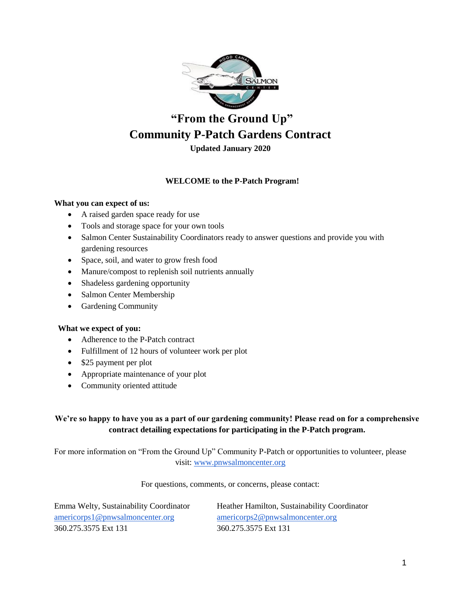

# **"From the Ground Up" Community P-Patch Gardens Contract**

**Updated January 2020**

## **WELCOME to the P-Patch Program!**

#### **What you can expect of us:**

- A raised garden space ready for use
- Tools and storage space for your own tools
- Salmon Center Sustainability Coordinators ready to answer questions and provide you with gardening resources
- Space, soil, and water to grow fresh food
- Manure/compost to replenish soil nutrients annually
- Shadeless gardening opportunity
- Salmon Center Membership
- Gardening Community

#### **What we expect of you:**

- Adherence to the P-Patch contract
- Fulfillment of 12 hours of volunteer work per plot
- \$25 payment per plot
- Appropriate maintenance of your plot
- Community oriented attitude

## **We're so happy to have you as a part of our gardening community! Please read on for a comprehensive contract detailing expectations for participating in the P-Patch program.**

For more information on "From the Ground Up" Community P-Patch or opportunities to volunteer, please visit: [www.pnwsalmoncenter.org](http://www.pnwsalmoncenter.org/)

For questions, comments, or concerns, please contact:

| Emma Welty, Sustainability Coordinator | Heather Hamilton, Sustainability Coordinator |
|----------------------------------------|----------------------------------------------|
| americorps1@pnwsalmoncenter.org        | americorps2@pnwsalmoncenter.org              |
| 360.275.3575 Ext 131                   | 360.275.3575 Ext 131                         |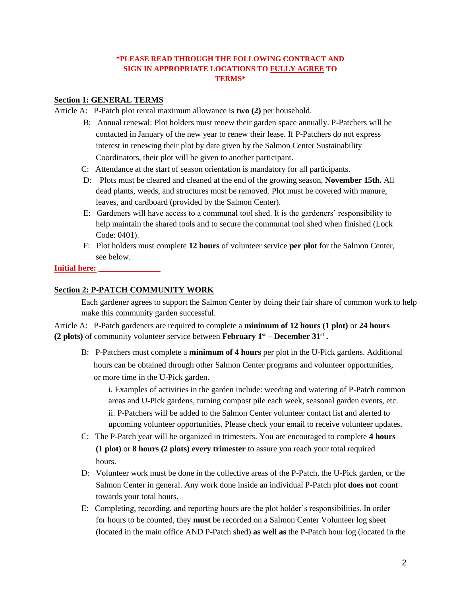## **\*PLEASE READ THROUGH THE FOLLOWING CONTRACT AND SIGN IN APPROPRIATE LOCATIONS TO FULLY AGREE TO TERMS\***

### **Section 1: GENERAL TERMS**

Article A: P-Patch plot rental maximum allowance is **two (2)** per household.

- B: Annual renewal: Plot holders must renew their garden space annually. P-Patchers will be contacted in January of the new year to renew their lease. If P-Patchers do not express interest in renewing their plot by date given by the Salmon Center Sustainability Coordinators, their plot will be given to another participant.
- C: Attendance at the start of season orientation is mandatory for all participants.
- D: Plots must be cleared and cleaned at the end of the growing season, **November 15th.** All dead plants, weeds, and structures must be removed. Plot must be covered with manure, leaves, and cardboard (provided by the Salmon Center).
- E: Gardeners will have access to a communal tool shed. It is the gardeners' responsibility to help maintain the shared tools and to secure the communal tool shed when finished (Lock Code: 0401).
- F: Plot holders must complete **12 hours** of volunteer service **per plot** for the Salmon Center, see below.

#### **Initial here: \_\_\_\_\_\_\_\_\_\_\_\_\_\_\_**

#### **Section 2: P-PATCH COMMUNITY WORK**

Each gardener agrees to support the Salmon Center by doing their fair share of common work to help make this community garden successful.

Article A: P-Patch gardeners are required to complete a **minimum of 12 hours (1 plot)** or **24 hours (2 plots)** of community volunteer service between **February 1st – December 31st .**

B: P-Patchers must complete a **minimum of 4 hours** per plot in the U-Pick gardens. Additional hours can be obtained through other Salmon Center programs and volunteer opportunities, or more time in the U-Pick garden.

i. Examples of activities in the garden include: weeding and watering of P-Patch common areas and U-Pick gardens, turning compost pile each week, seasonal garden events, etc. ii. P-Patchers will be added to the Salmon Center volunteer contact list and alerted to upcoming volunteer opportunities. Please check your email to receive volunteer updates.

- C: The P-Patch year will be organized in trimesters. You are encouraged to complete **4 hours (1 plot)** or **8 hours (2 plots) every trimester** to assure you reach your total required hours.
- D: Volunteer work must be done in the collective areas of the P-Patch, the U-Pick garden, or the Salmon Center in general. Any work done inside an individual P-Patch plot **does not** count towards your total hours.
- E: Completing, recording, and reporting hours are the plot holder's responsibilities. In order for hours to be counted, they **must** be recorded on a Salmon Center Volunteer log sheet (located in the main office AND P-Patch shed) **as well as** the P-Patch hour log (located in the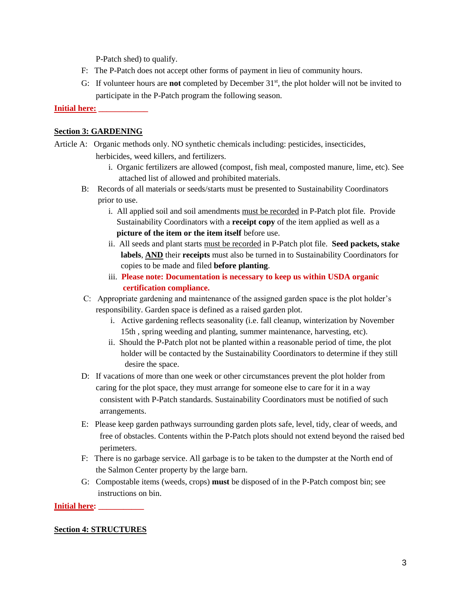P-Patch shed) to qualify.

- F: The P-Patch does not accept other forms of payment in lieu of community hours.
- G: If volunteer hours are **not** completed by December 31<sup>st</sup>, the plot holder will not be invited to participate in the P-Patch program the following season.

### **Initial here: \_\_\_\_\_\_\_\_\_\_\_\_**

### **Section 3: GARDENING**

Article A: Organic methods only. NO synthetic chemicals including: pesticides, insecticides, herbicides, weed killers, and fertilizers.

- i. Organic fertilizers are allowed (compost, fish meal, composted manure, lime, etc). See attached list of allowed and prohibited materials.
- B: Records of all materials or seeds/starts must be presented to Sustainability Coordinators prior to use.
	- i. All applied soil and soil amendments must be recorded in P-Patch plot file. Provide Sustainability Coordinators with a **receipt copy** of the item applied as well as a  **picture of the item or the item itself** before use.
	- ii. All seeds and plant starts must be recorded in P-Patch plot file. **Seed packets, stake labels**, **AND** their **receipts** must also be turned in to Sustainability Coordinators for copies to be made and filed **before planting**.
	- iii. **Please note: Documentation is necessary to keep us within USDA organic certification compliance.**
- C: Appropriate gardening and maintenance of the assigned garden space is the plot holder's responsibility. Garden space is defined as a raised garden plot.
	- i. Active gardening reflects seasonality (i.e. fall cleanup, winterization by November 15th , spring weeding and planting, summer maintenance, harvesting, etc).
	- ii. Should the P-Patch plot not be planted within a reasonable period of time, the plot holder will be contacted by the Sustainability Coordinators to determine if they still desire the space.
- D: If vacations of more than one week or other circumstances prevent the plot holder from caring for the plot space, they must arrange for someone else to care for it in a way consistent with P-Patch standards. Sustainability Coordinators must be notified of such arrangements.
- E: Please keep garden pathways surrounding garden plots safe, level, tidy, clear of weeds, and free of obstacles. Contents within the P-Patch plots should not extend beyond the raised bed perimeters.
- F: There is no garbage service. All garbage is to be taken to the dumpster at the North end of the Salmon Center property by the large barn.
- G: Compostable items (weeds, crops) **must** be disposed of in the P-Patch compost bin; see instructions on bin.

#### **Initial here:**

#### **Section 4: STRUCTURES**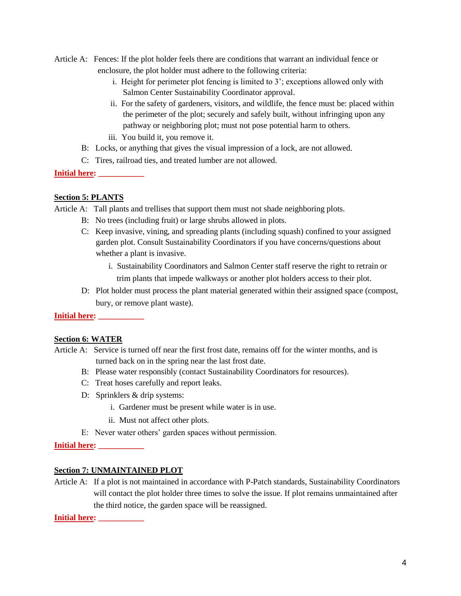- Article A: Fences: If the plot holder feels there are conditions that warrant an individual fence or enclosure, the plot holder must adhere to the following criteria:
	- i. Height for perimeter plot fencing is limited to 3'; exceptions allowed only with Salmon Center Sustainability Coordinator approval.
	- ii. For the safety of gardeners, visitors, and wildlife, the fence must be: placed within the perimeter of the plot; securely and safely built, without infringing upon any pathway or neighboring plot; must not pose potential harm to others.
	- iii. You build it, you remove it.
	- B: Locks, or anything that gives the visual impression of a lock, are not allowed.
	- C: Tires, railroad ties, and treated lumber are not allowed.
- **Initial here: \_\_\_\_\_\_\_\_\_\_\_**

## **Section 5: PLANTS**

Article A: Tall plants and trellises that support them must not shade neighboring plots.

- B: No trees (including fruit) or large shrubs allowed in plots.
- C: Keep invasive, vining, and spreading plants (including squash) confined to your assigned garden plot. Consult Sustainability Coordinators if you have concerns/questions about whether a plant is invasive.
	- i. Sustainability Coordinators and Salmon Center staff reserve the right to retrain or trim plants that impede walkways or another plot holders access to their plot.
- D: Plot holder must process the plant material generated within their assigned space (compost, bury, or remove plant waste).

## **Initial here: \_\_\_\_\_\_\_\_\_\_\_**

## **Section 6: WATER**

- Article A: Service is turned off near the first frost date, remains off for the winter months, and is turned back on in the spring near the last frost date.
	- B: Please water responsibly (contact Sustainability Coordinators for resources).
	- C: Treat hoses carefully and report leaks.
	- D: Sprinklers & drip systems:
		- i. Gardener must be present while water is in use.
		- ii. Must not affect other plots.
	- E: Never water others' garden spaces without permission.

**Initial here: \_\_\_\_\_\_\_\_\_\_\_**

## **Section 7: UNMAINTAINED PLOT**

Article A: If a plot is not maintained in accordance with P-Patch standards, Sustainability Coordinators will contact the plot holder three times to solve the issue. If plot remains unmaintained after the third notice, the garden space will be reassigned.

**Initial here: \_\_\_\_\_\_\_\_\_\_\_**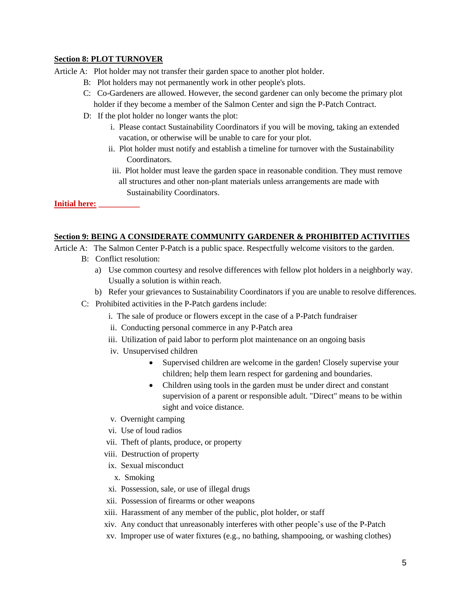#### **Section 8: PLOT TURNOVER**

Article A: Plot holder may not transfer their garden space to another plot holder.

- B: Plot holders may not permanently work in other people's plots.
- C: Co-Gardeners are allowed. However, the second gardener can only become the primary plot holder if they become a member of the Salmon Center and sign the P-Patch Contract.
- D: If the plot holder no longer wants the plot:
	- i. Please contact Sustainability Coordinators if you will be moving, taking an extended vacation, or otherwise will be unable to care for your plot.
	- ii. Plot holder must notify and establish a timeline for turnover with the Sustainability Coordinators.
	- iii. Plot holder must leave the garden space in reasonable condition. They must remove all structures and other non-plant materials unless arrangements are made with Sustainability Coordinators.

**Initial here: \_\_\_\_\_\_\_\_\_\_**

#### **Section 9: BEING A CONSIDERATE COMMUNITY GARDENER & PROHIBITED ACTIVITIES**

- Article A: The Salmon Center P-Patch is a public space. Respectfully welcome visitors to the garden.
	- B: Conflict resolution:
		- a) Use common courtesy and resolve differences with fellow plot holders in a neighborly way. Usually a solution is within reach.
		- b) Refer your grievances to Sustainability Coordinators if you are unable to resolve differences.
	- C: Prohibited activities in the P-Patch gardens include:
		- i. The sale of produce or flowers except in the case of a P-Patch fundraiser
		- ii. Conducting personal commerce in any P-Patch area
		- iii. Utilization of paid labor to perform plot maintenance on an ongoing basis
		- iv. Unsupervised children
			- Supervised children are welcome in the garden! Closely supervise your children; help them learn respect for gardening and boundaries.
			- Children using tools in the garden must be under direct and constant supervision of a parent or responsible adult. "Direct" means to be within sight and voice distance.
		- v. Overnight camping
		- vi. Use of loud radios
		- vii. Theft of plants, produce, or property
		- viii. Destruction of property
		- ix. Sexual misconduct
			- x. Smoking
		- xi. Possession, sale, or use of illegal drugs
		- xii. Possession of firearms or other weapons
		- xiii. Harassment of any member of the public, plot holder, or staff
		- xiv. Any conduct that unreasonably interferes with other people's use of the P-Patch
		- xv. Improper use of water fixtures (e.g., no bathing, shampooing, or washing clothes)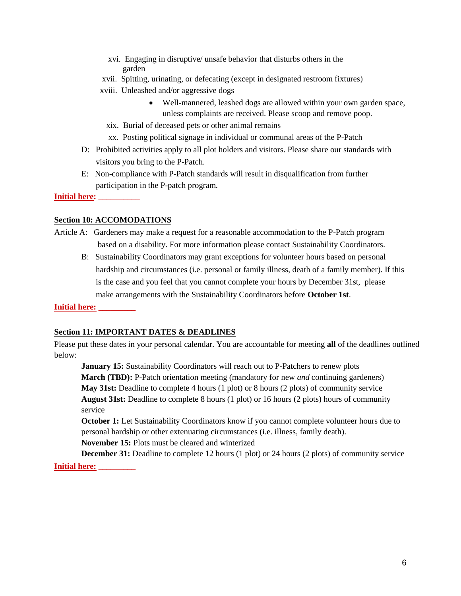- xvi. Engaging in disruptive/ unsafe behavior that disturbs others in the garden
- xvii. Spitting, urinating, or defecating (except in designated restroom fixtures)
- xviii. Unleashed and/or aggressive dogs
	- Well-mannered, leashed dogs are allowed within your own garden space, unless complaints are received. Please scoop and remove poop.
	- xix. Burial of deceased pets or other animal remains
	- xx. Posting political signage in individual or communal areas of the P-Patch
- D: Prohibited activities apply to all plot holders and visitors. Please share our standards with visitors you bring to the P-Patch.
- E: Non-compliance with P-Patch standards will result in disqualification from further participation in the P-patch program.

**Initial here:** 

#### **Section 10: ACCOMODATIONS**

- Article A: Gardeners may make a request for a reasonable accommodation to the P-Patch program based on a disability. For more information please contact Sustainability Coordinators.
	- B: Sustainability Coordinators may grant exceptions for volunteer hours based on personal hardship and circumstances (i.e. personal or family illness, death of a family member). If this is the case and you feel that you cannot complete your hours by December 31st, please make arrangements with the Sustainability Coordinators before **October 1st**.

**Initial here: \_\_\_\_\_\_\_\_\_**

#### **Section 11: IMPORTANT DATES & DEADLINES**

Please put these dates in your personal calendar. You are accountable for meeting **all** of the deadlines outlined below:

**January 15:** Sustainability Coordinators will reach out to P-Patchers to renew plots **March (TBD):** P-Patch orientation meeting (mandatory for new *and* continuing gardeners) **May 31st:** Deadline to complete 4 hours (1 plot) or 8 hours (2 plots) of community service **August 31st:** Deadline to complete 8 hours (1 plot) or 16 hours (2 plots) hours of community service

**October 1:** Let Sustainability Coordinators know if you cannot complete volunteer hours due to personal hardship or other extenuating circumstances (i.e. illness, family death). **November 15:** Plots must be cleared and winterized

**December 31:** Deadline to complete 12 hours (1 plot) or 24 hours (2 plots) of community service **Initial here: \_\_\_\_\_\_\_\_\_**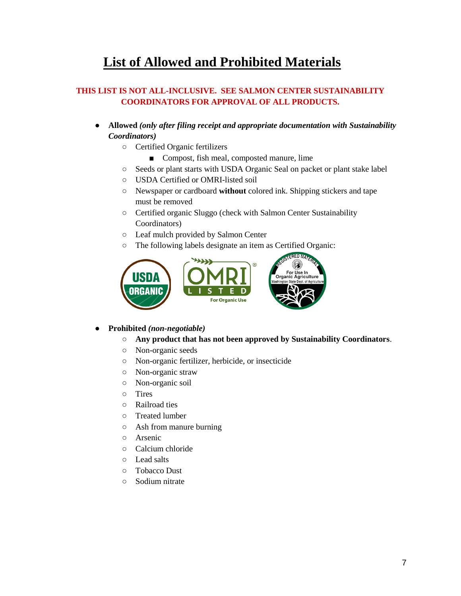## **List of Allowed and Prohibited Materials**

## **THIS LIST IS NOT ALL-INCLUSIVE. SEE SALMON CENTER SUSTAINABILITY COORDINATORS FOR APPROVAL OF ALL PRODUCTS.**

- **Allowed** *(only after filing receipt and appropriate documentation with Sustainability Coordinators)*
	- Certified Organic fertilizers
		- Compost, fish meal, composted manure, lime
	- Seeds or plant starts with USDA Organic Seal on packet or plant stake label
	- USDA Certified or OMRI-listed soil
	- Newspaper or cardboard **without** colored ink. Shipping stickers and tape must be removed
	- Certified organic Sluggo (check with Salmon Center Sustainability Coordinators)
	- Leaf mulch provided by Salmon Center
	- The following labels designate an item as Certified Organic:



## ● **Prohibited** *(non-negotiable)*

- **Any product that has not been approved by Sustainability Coordinators**.
- Non-organic seeds
- Non-organic fertilizer, herbicide, or insecticide
- Non-organic straw
- Non-organic soil
- Tires
- Railroad ties
- Treated lumber
- Ash from manure burning
- Arsenic
- Calcium chloride
- Lead salts
- Tobacco Dust
- Sodium nitrate